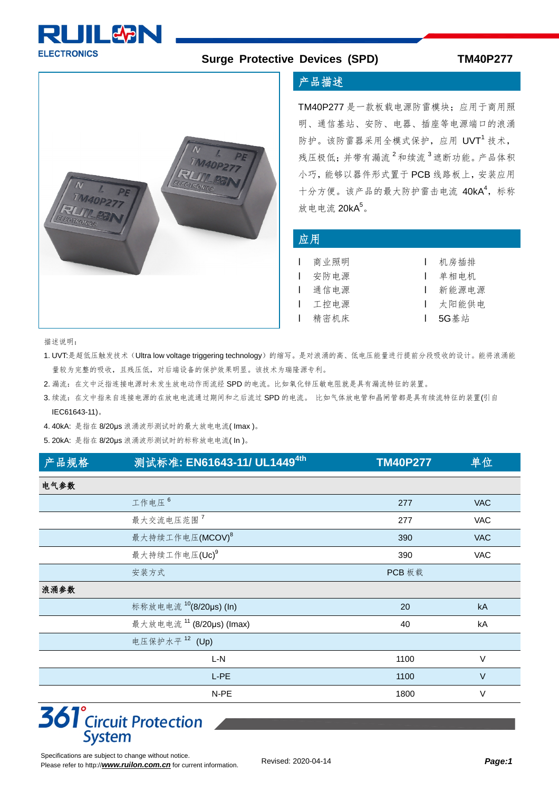

#### **Surge Protective Devices (SPD) TM40P277**



#### 产品描述

TM40P277 是一款板载电源防雷模块;应用于商用照 明、通信基站、安防、电器、插座等电源端口的浪涌 防护。该防雷器采用全模式保护,应用 UVT<sup>1</sup> 技术, 残压极低;并带有漏流<sup>2</sup>和续流<sup>3</sup>遮断功能。产品体积 小巧,能够以器件形式置于 PCB 线路板上,安装应用 十分方便。该产品的最大防护雷击电流 40kA<sup>4</sup>, 标称 放电电流  $20kA^5$ 。

#### 应用

| Ⅰ 商业照明 | Ⅰ 机房插排    |
|--------|-----------|
| Ⅰ 安防电源 | Ⅰ 单相电机    |
| 通信电源   | ┃ 新能源电源   |
| Ⅰ 工控电源 | Ⅰ 太阳能供申   |
| Ⅰ 精密机床 | $1.5G$ 基站 |

描述说明:

1. UVT:是超低压触发技术(Ultra low voltage triggering technology)的缩写。是对浪涌的高、低电压能量进行提前分段吸收的设计。能将浪涌能 量较为完整的吸收,且残压低,对后端设备的保护效果明显。该技术为瑞隆源专利。

- 2. 漏流: 在文中泛指连接电源时未发生放电动作而流经 SPD 的电流。比如氧化锌压敏电阻就是具有漏流特征的装置。
- 3. 续流:在文中指来自连接电源的在放电电流通过期间和之后流过 SPD 的电流。 比如气体放电管和晶闸管都是具有续流特征的装置(引自 IEC61643-11)。

4. 40kA: 是指在 8/20μs 浪涌波形测试时的最大放电电流( Imax )。

5. 20kA: 是指在 8/20μs 浪涌波形测试时的标称放电电流( In )。

| 产品规格 | 测试标准: EN61643-11/ UL1449 <sup>4th</sup> | <b>TM40P277</b> | 单位         |
|------|-----------------------------------------|-----------------|------------|
| 电气参数 |                                         |                 |            |
|      | 工作电压 6                                  | 277             | <b>VAC</b> |
|      | 最大交流电压范围 <sup>7</sup>                   | 277             | <b>VAC</b> |
|      | 最大持续工作电压(MCOV) <sup>8</sup>             | 390             | <b>VAC</b> |
|      | 最大持续工作电压(Uc) <sup>9</sup>               | 390             | <b>VAC</b> |
|      | 安装方式                                    | PCB 板载          |            |
| 浪涌参数 |                                         |                 |            |
|      | 标称放电电流 10(8/20µs) (In)                  | 20              | kA         |
|      | 最大放电电流 11 (8/20µs) (Imax)               | 40              | kA         |
|      | 电压保护水平 <sup>12</sup> (Up)               |                 |            |
|      | L-N                                     | 1100            | $\vee$     |
|      | L-PE                                    | 1100            | $\vee$     |
|      | N-PE                                    | 1800            | $\vee$     |

## **361**<sup>°</sup>Circuit Protection **System**

Specifications are subject to change without notice. Please refer to http://[www.ruilon.com.cn](http://www.ruilon.com.cn) for current information.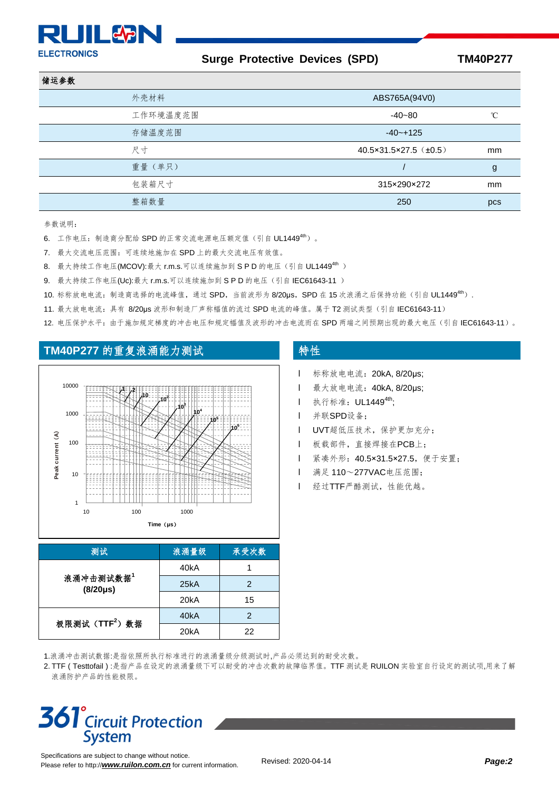# **PLITLEAR**

**ELECTRONICS** 

#### **Surge Protective Devices (SPD) TM40P277**

| 储运参数     |                                       |                 |
|----------|---------------------------------------|-----------------|
| 外壳材料     | ABS765A(94V0)                         |                 |
| 工作环境温度范围 | $-40 - 80$                            | $\rm ^{\circ}C$ |
| 存储温度范围   | $-40 - +125$                          |                 |
| 尺寸       | $40.5 \times 31.5 \times 27.5$ (±0.5) | mm              |
| 重量(单只)   |                                       | g               |
| 包装箱尺寸    | 315×290×272                           | mm              |
| 整箱数量     | 250                                   | pcs             |

参数说明:

- 6. 工作电压: 制造商分配给 SPD 的正常交流电源电压额定值 (引自 UL1449<sup>4th</sup>)。
- 7. 最大交流电压范围:可连续地施加在 SPD 上的最大交流电压有效值。
- $8.$  最大持续工作电压(MCOV):最大 r.m.s.可以连续施加到 SPD 的电压(引自 UL1449<sup>4th</sup>)
- 9. 最大持续工作电压(Uc):最大 r.m.s.可以连续施加到 S P D 的电压(引自 IEC61643-11)
- 10. 标称放电电流: 制造商选择的电流峰值,通过 SPD, 当前波形为 8/20us, SPD 在 15 次浪涌之后保持功能(引自 UL1449<sup>4th</sup>).
- 11. 最大放电电流:具有 8/20μs 波形和制造厂声称幅值的流过 SPD 电流的峰值。属于 T2 测试类型(引自 IEC61643-11)
- 12. 电压保护水平: 由于施加规定梯度的冲击电压和规定幅值及波形的冲击电流而在 SPD 两端之间预期出现的最大电压(引自 IEC61643-11)。

### TM40P277 的重复浪涌能力测试 **TM40P277** 的重复浪涌能力测试



| 测试                         | 浪涌量级              | 承受次数 |
|----------------------------|-------------------|------|
|                            | 40kA              |      |
| 浪涌冲击测试数据1<br>$(8/20\mu s)$ | 25kA              | 2    |
|                            | 20 <sub>k</sub> A | 15   |
| 极限测试 $(TTF^2)$ 数据          | 40kA              | 2    |
|                            | 20 <sub>k</sub> A | 22   |

- l 标称放电电流:20kA, 8/20μs;
- l 最大放电电流:40kA, 8/20μs;
- **l** 执行标准: UL1449<sup>4th</sup>;
- l 并联SPD设备;
- l UVT超低压技术,保护更加充分;
- l 板载部件,直接焊接在PCB上;
- l 紧凑外形:40.5×31.5×27.5,便于安置;
- **l** 满足 110~277VAC电压范围:
- l 经过TTF严酷测试,性能优越。

1.浪涌冲击测试数据:是指依照所执行标准进行的浪涌量级分级测试时,产品必须达到的耐受次数。

2. TTF ( Testtofail ) :是指产品在设定的浪涌量级下可以耐受的冲击次数的故障临界值。TTF 测试是 RUILON 实验室自行设定的测试项,用来了解 浪涌防护产品的性能极限。

## **361**<sup>°</sup>Circuit Protection **System**